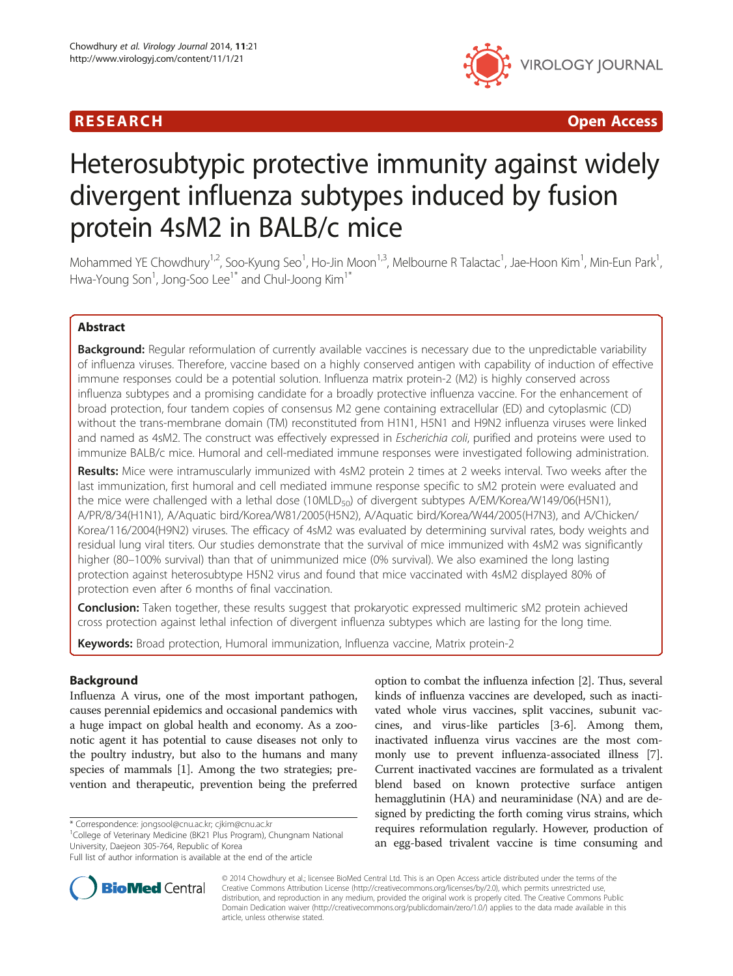

**RESEARCH CHILD CONTROL** CONTROL CONTROL CONTROL CONTROL CONTROL CONTROL CONTROL CONTROL CONTROL CONTROL CONTROL CONTROL CONTROL CONTROL CONTROL CONTROL CONTROL CONTROL CONTROL CONTROL CONTROL CONTROL CONTROL CONTROL CONTR

# Heterosubtypic protective immunity against widely divergent influenza subtypes induced by fusion protein 4sM2 in BALB/c mice

Mohammed YE Chowdhury<sup>1,2</sup>, Soo-Kyung Seo<sup>1</sup>, Ho-Jin Moon<sup>1,3</sup>, Melbourne R Talactac<sup>1</sup>, Jae-Hoon Kim<sup>1</sup>, Min-Eun Park<sup>1</sup> , Hwa-Young Son $^{\rm l}$ , Jong-Soo Lee $^{\rm l^*}$  and Chul-Joong Kim $^{\rm l^*}$ 

# Abstract

Background: Regular reformulation of currently available vaccines is necessary due to the unpredictable variability of influenza viruses. Therefore, vaccine based on a highly conserved antigen with capability of induction of effective immune responses could be a potential solution. Influenza matrix protein-2 (M2) is highly conserved across influenza subtypes and a promising candidate for a broadly protective influenza vaccine. For the enhancement of broad protection, four tandem copies of consensus M2 gene containing extracellular (ED) and cytoplasmic (CD) without the trans-membrane domain (TM) reconstituted from H1N1, H5N1 and H9N2 influenza viruses were linked and named as 4sM2. The construct was effectively expressed in Escherichia coli, purified and proteins were used to immunize BALB/c mice. Humoral and cell-mediated immune responses were investigated following administration.

Results: Mice were intramuscularly immunized with 4sM2 protein 2 times at 2 weeks interval. Two weeks after the last immunization, first humoral and cell mediated immune response specific to sM2 protein were evaluated and the mice were challenged with a lethal dose (10MLD<sub>50</sub>) of divergent subtypes A/EM/Korea/W149/06(H5N1), A/PR/8/34(H1N1), A/Aquatic bird/Korea/W81/2005(H5N2), A/Aquatic bird/Korea/W44/2005(H7N3), and A/Chicken/ Korea/116/2004(H9N2) viruses. The efficacy of 4sM2 was evaluated by determining survival rates, body weights and residual lung viral titers. Our studies demonstrate that the survival of mice immunized with 4sM2 was significantly higher (80–100% survival) than that of unimmunized mice (0% survival). We also examined the long lasting protection against heterosubtype H5N2 virus and found that mice vaccinated with 4sM2 displayed 80% of protection even after 6 months of final vaccination.

Conclusion: Taken together, these results suggest that prokaryotic expressed multimeric sM2 protein achieved cross protection against lethal infection of divergent influenza subtypes which are lasting for the long time.

Keywords: Broad protection, Humoral immunization, Influenza vaccine, Matrix protein-2

# Background

Influenza A virus, one of the most important pathogen, causes perennial epidemics and occasional pandemics with a huge impact on global health and economy. As a zoonotic agent it has potential to cause diseases not only to the poultry industry, but also to the humans and many species of mammals [[1\]](#page-11-0). Among the two strategies; prevention and therapeutic, prevention being the preferred

\* Correspondence: [jongsool@cnu.ac.kr](mailto:jongsool@cnu.ac.kr); [cjkim@cnu.ac.kr](mailto:cjkim@cnu.ac.kr) <sup>1</sup>

<sup>1</sup>College of Veterinary Medicine (BK21 Plus Program), Chungnam National University, Daejeon 305-764, Republic of Korea

option to combat the influenza infection [\[2\]](#page-11-0). Thus, several kinds of influenza vaccines are developed, such as inactivated whole virus vaccines, split vaccines, subunit vaccines, and virus-like particles [\[3-6](#page-11-0)]. Among them, inactivated influenza virus vaccines are the most commonly use to prevent influenza-associated illness [[7](#page-11-0)]. Current inactivated vaccines are formulated as a trivalent blend based on known protective surface antigen hemagglutinin (HA) and neuraminidase (NA) and are designed by predicting the forth coming virus strains, which requires reformulation regularly. However, production of an egg-based trivalent vaccine is time consuming and



© 2014 Chowdhury et al.; licensee BioMed Central Ltd. This is an Open Access article distributed under the terms of the Creative Commons Attribution License (<http://creativecommons.org/licenses/by/2.0>), which permits unrestricted use, distribution, and reproduction in any medium, provided the original work is properly cited. The Creative Commons Public Domain Dedication waiver [\(http://creativecommons.org/publicdomain/zero/1.0/\)](http://creativecommons.org/publicdomain/zero/1.0/) applies to the data made available in this article, unless otherwise stated.

Full list of author information is available at the end of the article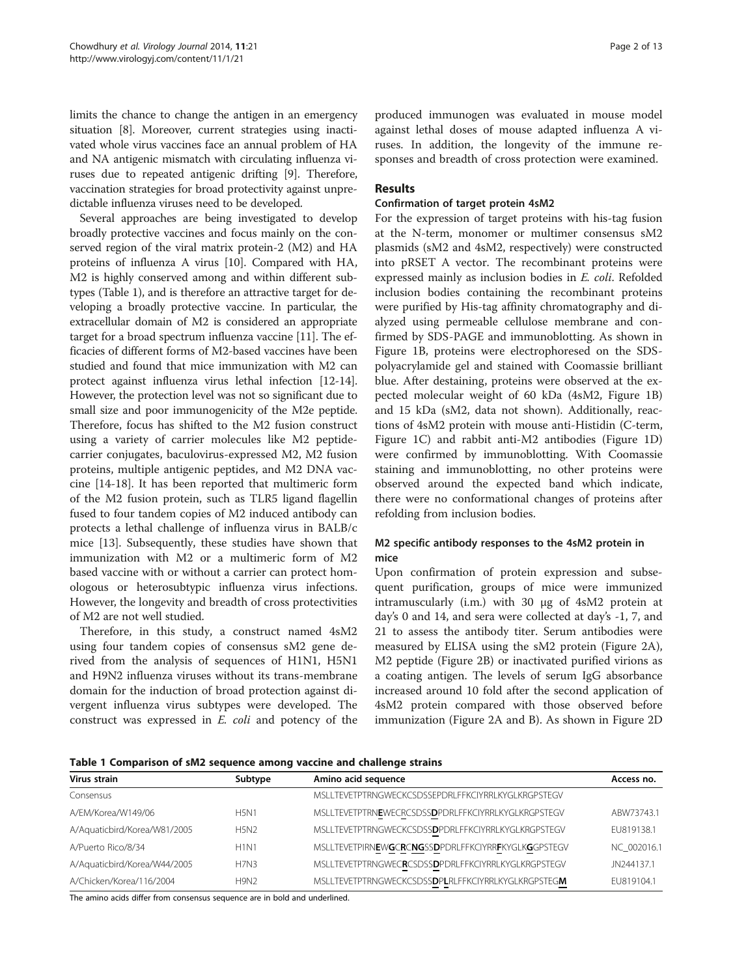<span id="page-1-0"></span>limits the chance to change the antigen in an emergency situation [[8\]](#page-11-0). Moreover, current strategies using inactivated whole virus vaccines face an annual problem of HA and NA antigenic mismatch with circulating influenza viruses due to repeated antigenic drifting [[9\]](#page-11-0). Therefore, vaccination strategies for broad protectivity against unpredictable influenza viruses need to be developed.

Several approaches are being investigated to develop broadly protective vaccines and focus mainly on the conserved region of the viral matrix protein-2 (M2) and HA proteins of influenza A virus [\[10](#page-11-0)]. Compared with HA, M2 is highly conserved among and within different subtypes (Table 1), and is therefore an attractive target for developing a broadly protective vaccine. In particular, the extracellular domain of M2 is considered an appropriate target for a broad spectrum influenza vaccine [[11](#page-11-0)]. The efficacies of different forms of M2-based vaccines have been studied and found that mice immunization with M2 can protect against influenza virus lethal infection [[12](#page-11-0)-[14](#page-11-0)]. However, the protection level was not so significant due to small size and poor immunogenicity of the M2e peptide. Therefore, focus has shifted to the M2 fusion construct using a variety of carrier molecules like M2 peptidecarrier conjugates, baculovirus-expressed M2, M2 fusion proteins, multiple antigenic peptides, and M2 DNA vaccine [\[14](#page-11-0)-[18\]](#page-11-0). It has been reported that multimeric form of the M2 fusion protein, such as TLR5 ligand flagellin fused to four tandem copies of M2 induced antibody can protects a lethal challenge of influenza virus in BALB/c mice [[13](#page-11-0)]. Subsequently, these studies have shown that immunization with M2 or a multimeric form of M2 based vaccine with or without a carrier can protect homologous or heterosubtypic influenza virus infections. However, the longevity and breadth of cross protectivities of M2 are not well studied.

Therefore, in this study, a construct named 4sM2 using four tandem copies of consensus sM2 gene derived from the analysis of sequences of H1N1, H5N1 and H9N2 influenza viruses without its trans-membrane domain for the induction of broad protection against divergent influenza virus subtypes were developed. The construct was expressed in E. coli and potency of the produced immunogen was evaluated in mouse model against lethal doses of mouse adapted influenza A viruses. In addition, the longevity of the immune responses and breadth of cross protection were examined.

# Results

# Confirmation of target protein 4sM2

For the expression of target proteins with his-tag fusion at the N-term, monomer or multimer consensus sM2 plasmids (sM2 and 4sM2, respectively) were constructed into pRSET A vector. The recombinant proteins were expressed mainly as inclusion bodies in E. coli. Refolded inclusion bodies containing the recombinant proteins were purified by His-tag affinity chromatography and dialyzed using permeable cellulose membrane and confirmed by SDS-PAGE and immunoblotting. As shown in Figure [1](#page-2-0)B, proteins were electrophoresed on the SDSpolyacrylamide gel and stained with Coomassie brilliant blue. After destaining, proteins were observed at the expected molecular weight of 60 kDa (4sM2, Figure [1B](#page-2-0)) and 15 kDa (sM2, data not shown). Additionally, reactions of 4sM2 protein with mouse anti-Histidin (C-term, Figure [1](#page-2-0)C) and rabbit anti-M2 antibodies (Figure [1](#page-2-0)D) were confirmed by immunoblotting. With Coomassie staining and immunoblotting, no other proteins were observed around the expected band which indicate, there were no conformational changes of proteins after refolding from inclusion bodies.

# M2 specific antibody responses to the 4sM2 protein in mice

Upon confirmation of protein expression and subsequent purification, groups of mice were immunized intramuscularly (i.m.) with 30 μg of 4sM2 protein at day's 0 and 14, and sera were collected at day's -1, 7, and 21 to assess the antibody titer. Serum antibodies were measured by ELISA using the sM2 protein (Figure [2](#page-3-0)A), M2 peptide (Figure [2B](#page-3-0)) or inactivated purified virions as a coating antigen. The levels of serum IgG absorbance increased around 10 fold after the second application of 4sM2 protein compared with those observed before immunization (Figure [2A](#page-3-0) and B). As shown in Figure [2](#page-3-0)D

Table 1 Comparison of sM2 sequence among vaccine and challenge strains

| Virus strain                 | Subtype          | Amino acid sequence                                             | Access no.  |
|------------------------------|------------------|-----------------------------------------------------------------|-------------|
| Consensus                    |                  | MSLLTEVETPTRNGWECKCSDSSEPDRLFFKCIYRRLKYGLKRGPSTEGV              |             |
| A/EM/Korea/W149/06           | <b>H5N1</b>      | MSLLTEVETPTRNEWECRCSDSSDPDRLFFKCIYRRLKYGLKRGPSTEGV              | ABW73743.1  |
| A/Aquaticbird/Korea/W81/2005 | <b>H5N2</b>      | MSLI TEVETPTRNGWECKCSDSS <b>D</b> PDRI EEKCIYRRI KYGI KRGPSTEGV | FU819138.1  |
| A/Puerto Rico/8/34           | <b>H1N1</b>      | MSLLTEVETPIRNEWGCRCNGSSDPDRLFFKCIYRRFKYGLKGGPSTEGV              | NC 002016.1 |
| A/Aquaticbird/Korea/W44/2005 | <b>H7N3</b>      | MSLLTEVETPTRNGWECRCSDSSDPDRLFFKCIYRRLKYGLKRGPSTEGV              | JN244137.1  |
| A/Chicken/Korea/116/2004     | H9N <sub>2</sub> | MSLLTEVETPTRNGWECKCSDSSDPLRLFFKCIYRRLKYGLKRGPSTEGM              | FU819104.1  |

The amino acids differ from consensus sequence are in bold and underlined.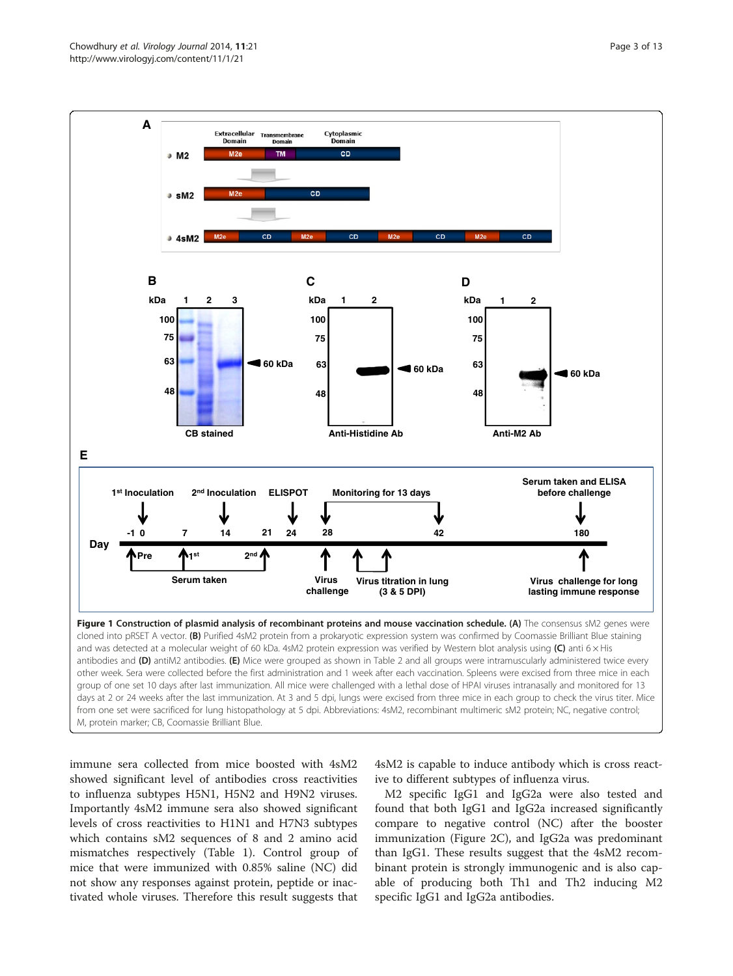<span id="page-2-0"></span>

immune sera collected from mice boosted with 4sM2 showed significant level of antibodies cross reactivities to influenza subtypes H5N1, H5N2 and H9N2 viruses. Importantly 4sM2 immune sera also showed significant levels of cross reactivities to H1N1 and H7N3 subtypes which contains sM2 sequences of 8 and 2 amino acid mismatches respectively (Table [1](#page-1-0)). Control group of mice that were immunized with 0.85% saline (NC) did not show any responses against protein, peptide or inactivated whole viruses. Therefore this result suggests that

4sM2 is capable to induce antibody which is cross reactive to different subtypes of influenza virus.

M2 specific IgG1 and IgG2a were also tested and found that both IgG1 and IgG2a increased significantly compare to negative control (NC) after the booster immunization (Figure [2C](#page-3-0)), and IgG2a was predominant than IgG1. These results suggest that the 4sM2 recombinant protein is strongly immunogenic and is also capable of producing both Th1 and Th2 inducing M2 specific IgG1 and IgG2a antibodies.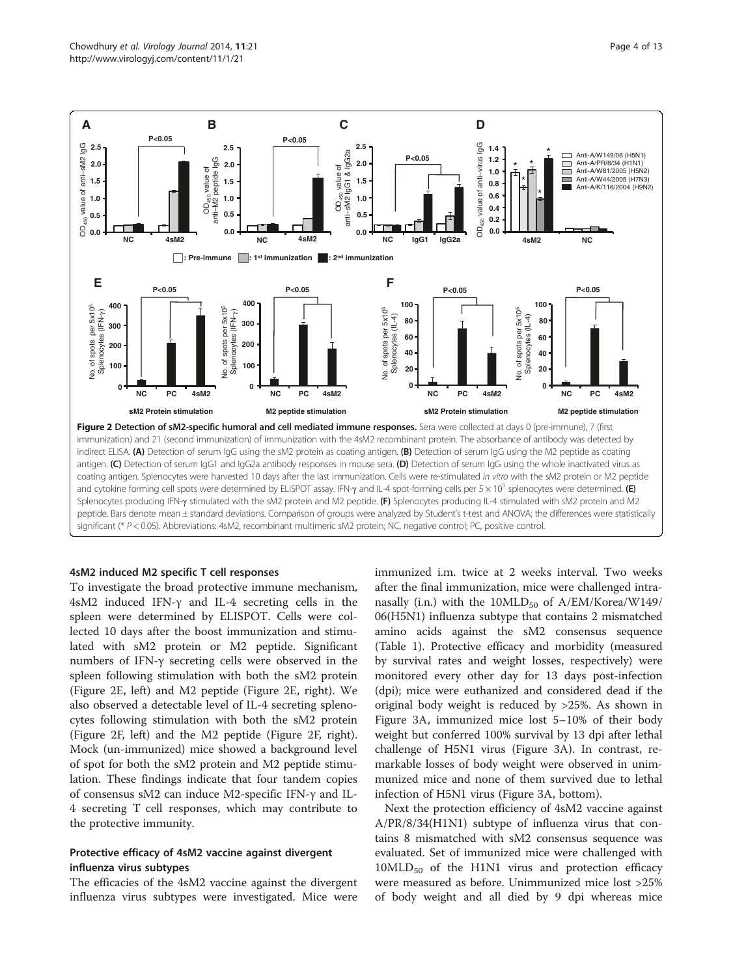<span id="page-3-0"></span>

# 4sM2 induced M2 specific T cell responses

To investigate the broad protective immune mechanism, 4sM2 induced IFN-γ and IL-4 secreting cells in the spleen were determined by ELISPOT. Cells were collected 10 days after the boost immunization and stimulated with sM2 protein or M2 peptide. Significant numbers of IFN-γ secreting cells were observed in the spleen following stimulation with both the sM2 protein (Figure 2E, left) and M2 peptide (Figure 2E, right). We also observed a detectable level of IL-4 secreting splenocytes following stimulation with both the sM2 protein (Figure 2F, left) and the M2 peptide (Figure 2F, right). Mock (un-immunized) mice showed a background level of spot for both the sM2 protein and M2 peptide stimulation. These findings indicate that four tandem copies of consensus sM2 can induce M2-specific IFN-γ and IL-4 secreting T cell responses, which may contribute to the protective immunity.

# Protective efficacy of 4sM2 vaccine against divergent influenza virus subtypes

The efficacies of the 4sM2 vaccine against the divergent influenza virus subtypes were investigated. Mice were immunized i.m. twice at 2 weeks interval. Two weeks after the final immunization, mice were challenged intranasally (i.n.) with the  $10MLD_{50}$  of  $A/EM/Korea/W149/$ 06(H5N1) influenza subtype that contains 2 mismatched amino acids against the sM2 consensus sequence (Table [1\)](#page-1-0). Protective efficacy and morbidity (measured by survival rates and weight losses, respectively) were monitored every other day for 13 days post-infection (dpi); mice were euthanized and considered dead if the original body weight is reduced by >25%. As shown in Figure [3](#page-4-0)A, immunized mice lost 5–10% of their body weight but conferred 100% survival by 13 dpi after lethal challenge of H5N1 virus (Figure [3](#page-4-0)A). In contrast, remarkable losses of body weight were observed in unimmunized mice and none of them survived due to lethal infection of H5N1 virus (Figure [3A](#page-4-0), bottom).

Next the protection efficiency of 4sM2 vaccine against A/PR/8/34(H1N1) subtype of influenza virus that contains 8 mismatched with sM2 consensus sequence was evaluated. Set of immunized mice were challenged with  $10MLD_{50}$  of the H1N1 virus and protection efficacy were measured as before. Unimmunized mice lost >25% of body weight and all died by 9 dpi whereas mice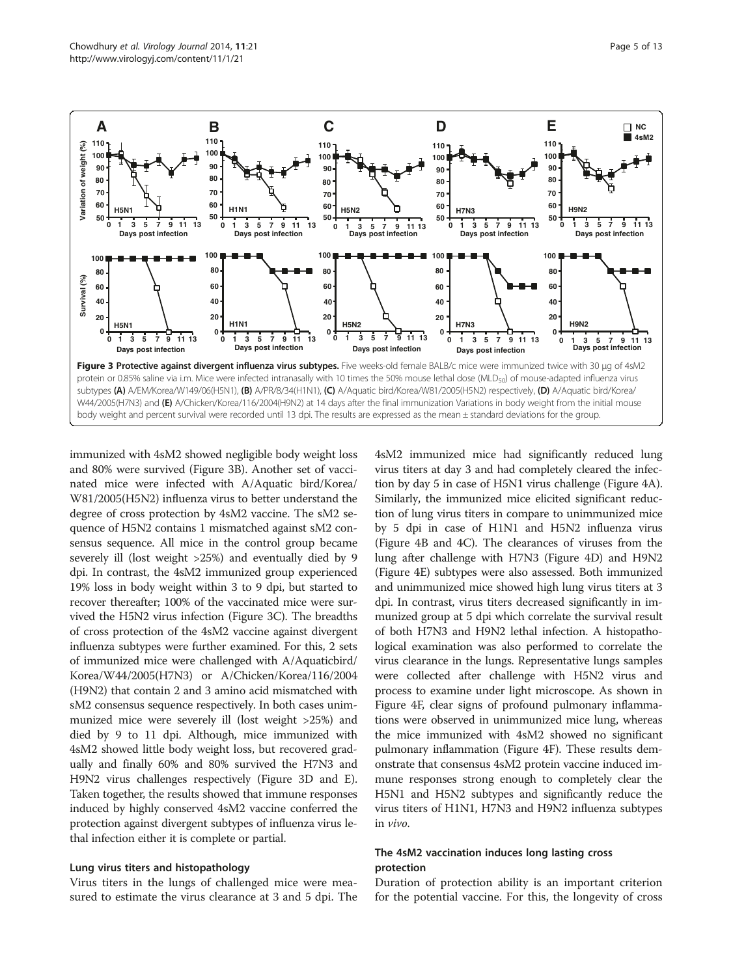<span id="page-4-0"></span>

immunized with 4sM2 showed negligible body weight loss and 80% were survived (Figure 3B). Another set of vaccinated mice were infected with A/Aquatic bird/Korea/ W81/2005(H5N2) influenza virus to better understand the degree of cross protection by 4sM2 vaccine. The sM2 sequence of H5N2 contains 1 mismatched against sM2 consensus sequence. All mice in the control group became severely ill (lost weight >25%) and eventually died by 9 dpi. In contrast, the 4sM2 immunized group experienced 19% loss in body weight within 3 to 9 dpi, but started to recover thereafter; 100% of the vaccinated mice were survived the H5N2 virus infection (Figure 3C). The breadths of cross protection of the 4sM2 vaccine against divergent influenza subtypes were further examined. For this, 2 sets of immunized mice were challenged with A/Aquaticbird/ Korea/W44/2005(H7N3) or A/Chicken/Korea/116/2004 (H9N2) that contain 2 and 3 amino acid mismatched with sM2 consensus sequence respectively. In both cases unimmunized mice were severely ill (lost weight >25%) and died by 9 to 11 dpi. Although, mice immunized with 4sM2 showed little body weight loss, but recovered gradually and finally 60% and 80% survived the H7N3 and H9N2 virus challenges respectively (Figure 3D and E). Taken together, the results showed that immune responses induced by highly conserved 4sM2 vaccine conferred the protection against divergent subtypes of influenza virus lethal infection either it is complete or partial.

### Lung virus titers and histopathology

Virus titers in the lungs of challenged mice were measured to estimate the virus clearance at 3 and 5 dpi. The

4sM2 immunized mice had significantly reduced lung virus titers at day 3 and had completely cleared the infection by day 5 in case of H5N1 virus challenge (Figure [4A](#page-5-0)). Similarly, the immunized mice elicited significant reduction of lung virus titers in compare to unimmunized mice by 5 dpi in case of H1N1 and H5N2 influenza virus (Figure [4](#page-5-0)B and [4](#page-5-0)C). The clearances of viruses from the lung after challenge with H7N3 (Figure [4](#page-5-0)D) and H9N2 (Figure [4](#page-5-0)E) subtypes were also assessed. Both immunized and unimmunized mice showed high lung virus titers at 3 dpi. In contrast, virus titers decreased significantly in immunized group at 5 dpi which correlate the survival result of both H7N3 and H9N2 lethal infection. A histopathological examination was also performed to correlate the virus clearance in the lungs. Representative lungs samples were collected after challenge with H5N2 virus and process to examine under light microscope. As shown in Figure [4F](#page-5-0), clear signs of profound pulmonary inflammations were observed in unimmunized mice lung, whereas the mice immunized with 4sM2 showed no significant pulmonary inflammation (Figure [4](#page-5-0)F). These results demonstrate that consensus 4sM2 protein vaccine induced immune responses strong enough to completely clear the H5N1 and H5N2 subtypes and significantly reduce the virus titers of H1N1, H7N3 and H9N2 influenza subtypes in vivo.

# The 4sM2 vaccination induces long lasting cross protection

Duration of protection ability is an important criterion for the potential vaccine. For this, the longevity of cross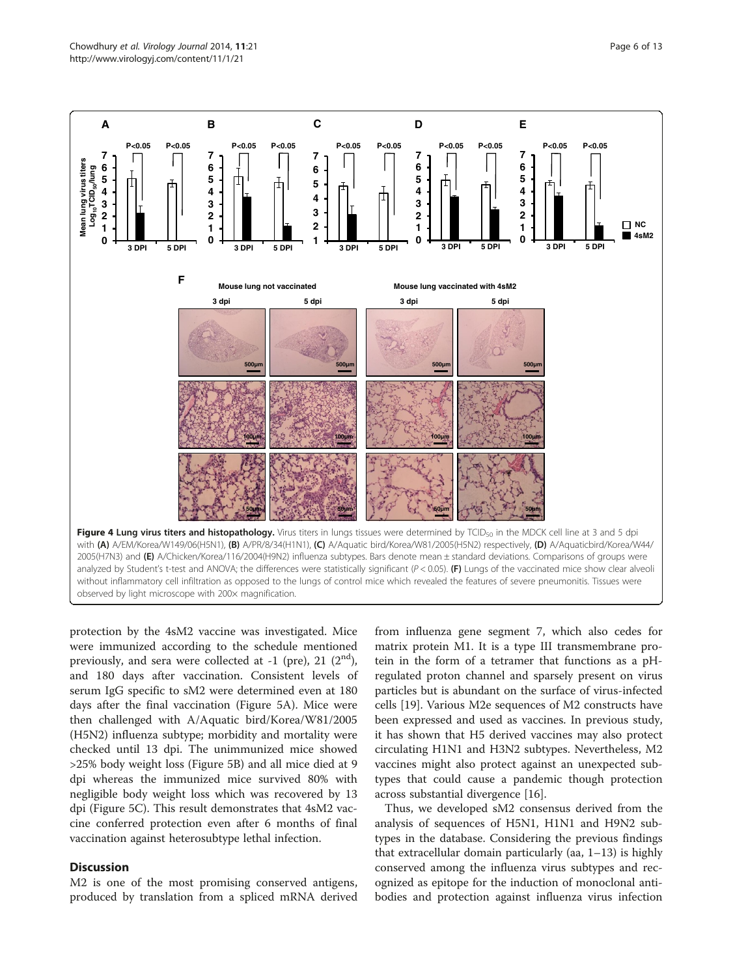<span id="page-5-0"></span>

protection by the 4sM2 vaccine was investigated. Mice were immunized according to the schedule mentioned previously, and sera were collected at  $-1$  (pre), 21 (2<sup>nd</sup>), and 180 days after vaccination. Consistent levels of serum IgG specific to sM2 were determined even at 180 days after the final vaccination (Figure [5A](#page-6-0)). Mice were then challenged with A/Aquatic bird/Korea/W81/2005 (H5N2) influenza subtype; morbidity and mortality were checked until 13 dpi. The unimmunized mice showed >25% body weight loss (Figure [5B](#page-6-0)) and all mice died at 9 dpi whereas the immunized mice survived 80% with negligible body weight loss which was recovered by 13 dpi (Figure [5](#page-6-0)C). This result demonstrates that 4sM2 vaccine conferred protection even after 6 months of final vaccination against heterosubtype lethal infection.

# **Discussion**

M2 is one of the most promising conserved antigens, produced by translation from a spliced mRNA derived from influenza gene segment 7, which also cedes for matrix protein M1. It is a type III transmembrane protein in the form of a tetramer that functions as a pHregulated proton channel and sparsely present on virus particles but is abundant on the surface of virus-infected cells [[19](#page-11-0)]. Various M2e sequences of M2 constructs have been expressed and used as vaccines. In previous study, it has shown that H5 derived vaccines may also protect circulating H1N1 and H3N2 subtypes. Nevertheless, M2 vaccines might also protect against an unexpected subtypes that could cause a pandemic though protection across substantial divergence [\[16](#page-11-0)].

Thus, we developed sM2 consensus derived from the analysis of sequences of H5N1, H1N1 and H9N2 subtypes in the database. Considering the previous findings that extracellular domain particularly (aa, 1–13) is highly conserved among the influenza virus subtypes and recognized as epitope for the induction of monoclonal antibodies and protection against influenza virus infection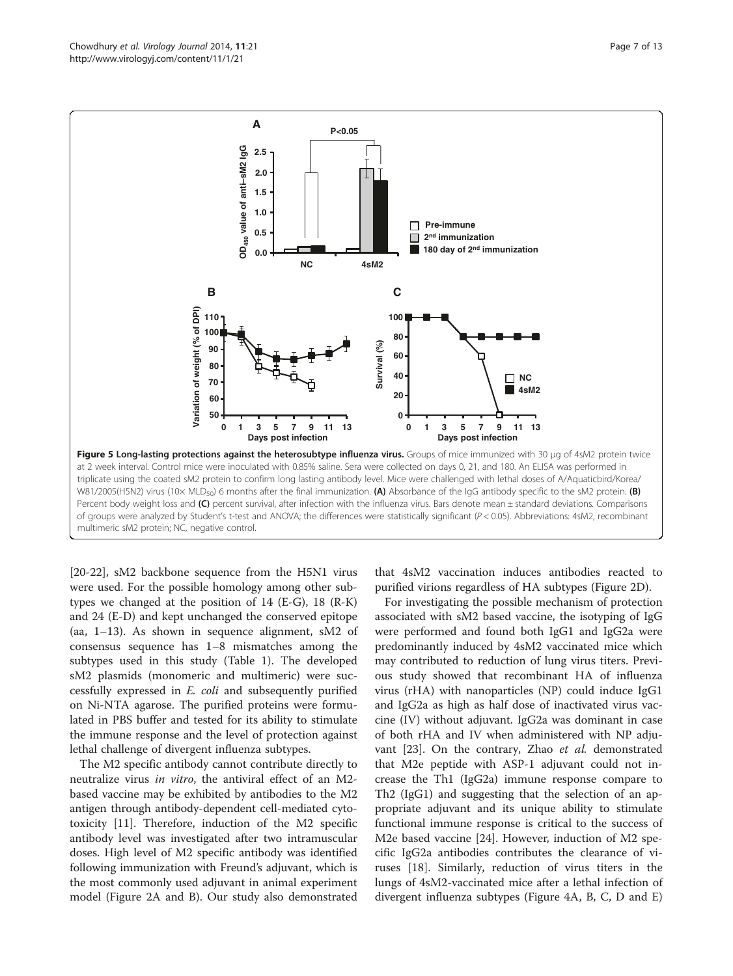<span id="page-6-0"></span>

[[20-22](#page-11-0)], sM2 backbone sequence from the H5N1 virus were used. For the possible homology among other subtypes we changed at the position of 14 (E-G), 18 (R-K) and 24 (E-D) and kept unchanged the conserved epitope (aa, 1–13). As shown in sequence alignment, sM2 of consensus sequence has 1–8 mismatches among the subtypes used in this study (Table [1](#page-1-0)). The developed sM2 plasmids (monomeric and multimeric) were successfully expressed in E. coli and subsequently purified on Ni-NTA agarose. The purified proteins were formulated in PBS buffer and tested for its ability to stimulate the immune response and the level of protection against lethal challenge of divergent influenza subtypes.

The M2 specific antibody cannot contribute directly to neutralize virus in vitro, the antiviral effect of an M2 based vaccine may be exhibited by antibodies to the M2 antigen through antibody-dependent cell-mediated cytotoxicity [[11](#page-11-0)]. Therefore, induction of the M2 specific antibody level was investigated after two intramuscular doses. High level of M2 specific antibody was identified following immunization with Freund's adjuvant, which is the most commonly used adjuvant in animal experiment model (Figure [2A](#page-3-0) and B). Our study also demonstrated that 4sM2 vaccination induces antibodies reacted to purified virions regardless of HA subtypes (Figure [2](#page-3-0)D).

For investigating the possible mechanism of protection associated with sM2 based vaccine, the isotyping of IgG were performed and found both IgG1 and IgG2a were predominantly induced by 4sM2 vaccinated mice which may contributed to reduction of lung virus titers. Previous study showed that recombinant HA of influenza virus (rHA) with nanoparticles (NP) could induce IgG1 and IgG2a as high as half dose of inactivated virus vaccine (IV) without adjuvant. IgG2a was dominant in case of both rHA and IV when administered with NP adju-vant [\[23](#page-11-0)]. On the contrary, Zhao et al. demonstrated that M2e peptide with ASP-1 adjuvant could not increase the Th1 (IgG2a) immune response compare to Th2 (IgG1) and suggesting that the selection of an appropriate adjuvant and its unique ability to stimulate functional immune response is critical to the success of M2e based vaccine [[24\]](#page-11-0). However, induction of M2 specific IgG2a antibodies contributes the clearance of viruses [[18\]](#page-11-0). Similarly, reduction of virus titers in the lungs of 4sM2-vaccinated mice after a lethal infection of divergent influenza subtypes (Figure [4](#page-5-0)A, B, C, D and E)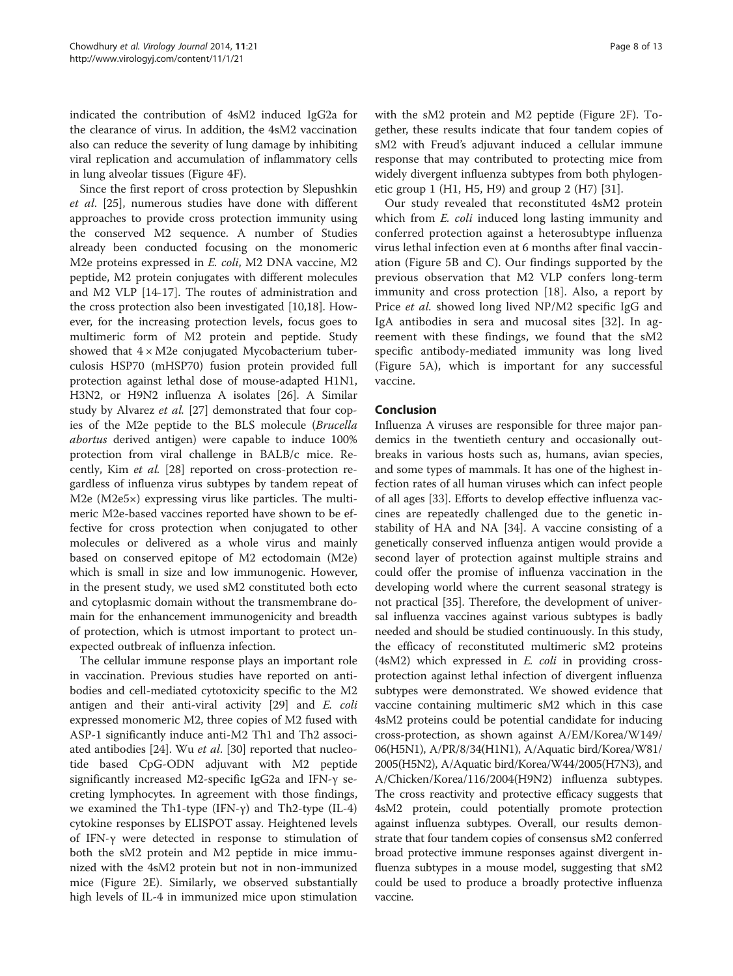indicated the contribution of 4sM2 induced IgG2a for the clearance of virus. In addition, the 4sM2 vaccination also can reduce the severity of lung damage by inhibiting viral replication and accumulation of inflammatory cells in lung alveolar tissues (Figure [4F](#page-5-0)).

Since the first report of cross protection by Slepushkin et al. [[25\]](#page-11-0), numerous studies have done with different approaches to provide cross protection immunity using the conserved M2 sequence. A number of Studies already been conducted focusing on the monomeric M2e proteins expressed in E. coli, M2 DNA vaccine, M2 peptide, M2 protein conjugates with different molecules and M2 VLP [\[14](#page-11-0)-[17\]](#page-11-0). The routes of administration and the cross protection also been investigated [\[10,18](#page-11-0)]. However, for the increasing protection levels, focus goes to multimeric form of M2 protein and peptide. Study showed that  $4 \times M2e$  conjugated Mycobacterium tuberculosis HSP70 (mHSP70) fusion protein provided full protection against lethal dose of mouse-adapted H1N1, H3N2, or H9N2 influenza A isolates [\[26\]](#page-11-0). A Similar study by Alvarez et al. [\[27](#page-11-0)] demonstrated that four copies of the M2e peptide to the BLS molecule (Brucella abortus derived antigen) were capable to induce 100% protection from viral challenge in BALB/c mice. Recently, Kim et al. [\[28](#page-11-0)] reported on cross-protection regardless of influenza virus subtypes by tandem repeat of M2e (M2e5×) expressing virus like particles. The multimeric M2e-based vaccines reported have shown to be effective for cross protection when conjugated to other molecules or delivered as a whole virus and mainly based on conserved epitope of M2 ectodomain (M2e) which is small in size and low immunogenic. However, in the present study, we used sM2 constituted both ecto and cytoplasmic domain without the transmembrane domain for the enhancement immunogenicity and breadth of protection, which is utmost important to protect unexpected outbreak of influenza infection.

The cellular immune response plays an important role in vaccination. Previous studies have reported on antibodies and cell-mediated cytotoxicity specific to the M2 antigen and their anti-viral activity [[29\]](#page-11-0) and E. coli expressed monomeric M2, three copies of M2 fused with ASP-1 significantly induce anti-M2 Th1 and Th2 associ-ated antibodies [[24](#page-11-0)]. Wu et al. [\[30](#page-11-0)] reported that nucleotide based CpG-ODN adjuvant with M2 peptide significantly increased M2-specific IgG2a and IFN-γ secreting lymphocytes. In agreement with those findings, we examined the Th1-type  $(IFN-y)$  and Th2-type  $(IL-4)$ cytokine responses by ELISPOT assay. Heightened levels of IFN-γ were detected in response to stimulation of both the sM2 protein and M2 peptide in mice immunized with the 4sM2 protein but not in non-immunized mice (Figure [2](#page-3-0)E). Similarly, we observed substantially high levels of IL-4 in immunized mice upon stimulation with the sM2 protein and M2 peptide (Figure [2F](#page-3-0)). Together, these results indicate that four tandem copies of sM2 with Freud's adjuvant induced a cellular immune response that may contributed to protecting mice from widely divergent influenza subtypes from both phylogenetic group 1 (H1, H5, H9) and group 2 (H7) [[31](#page-11-0)].

Our study revealed that reconstituted 4sM2 protein which from *E. coli* induced long lasting immunity and conferred protection against a heterosubtype influenza virus lethal infection even at 6 months after final vaccination (Figure [5B](#page-6-0) and C). Our findings supported by the previous observation that M2 VLP confers long-term immunity and cross protection [\[18](#page-11-0)]. Also, a report by Price et al. showed long lived NP/M2 specific IgG and IgA antibodies in sera and mucosal sites [[32\]](#page-11-0). In agreement with these findings, we found that the sM2 specific antibody-mediated immunity was long lived (Figure [5A](#page-6-0)), which is important for any successful vaccine.

# Conclusion

Influenza A viruses are responsible for three major pandemics in the twentieth century and occasionally outbreaks in various hosts such as, humans, avian species, and some types of mammals. It has one of the highest infection rates of all human viruses which can infect people of all ages [\[33](#page-11-0)]. Efforts to develop effective influenza vaccines are repeatedly challenged due to the genetic instability of HA and NA [[34](#page-11-0)]. A vaccine consisting of a genetically conserved influenza antigen would provide a second layer of protection against multiple strains and could offer the promise of influenza vaccination in the developing world where the current seasonal strategy is not practical [[35](#page-11-0)]. Therefore, the development of universal influenza vaccines against various subtypes is badly needed and should be studied continuously. In this study, the efficacy of reconstituted multimeric sM2 proteins (4sM2) which expressed in E. coli in providing crossprotection against lethal infection of divergent influenza subtypes were demonstrated. We showed evidence that vaccine containing multimeric sM2 which in this case 4sM2 proteins could be potential candidate for inducing cross-protection, as shown against A/EM/Korea/W149/ 06(H5N1), A/PR/8/34(H1N1), A/Aquatic bird/Korea/W81/ 2005(H5N2), A/Aquatic bird/Korea/W44/2005(H7N3), and A/Chicken/Korea/116/2004(H9N2) influenza subtypes. The cross reactivity and protective efficacy suggests that 4sM2 protein, could potentially promote protection against influenza subtypes. Overall, our results demonstrate that four tandem copies of consensus sM2 conferred broad protective immune responses against divergent influenza subtypes in a mouse model, suggesting that sM2 could be used to produce a broadly protective influenza vaccine.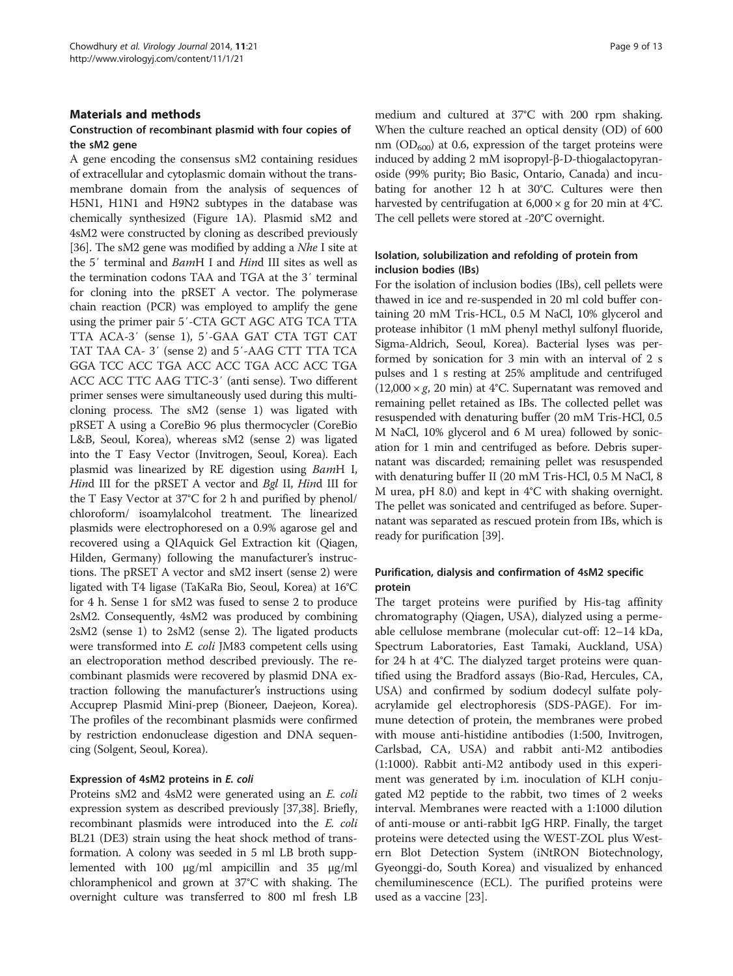# Materials and methods

# Construction of recombinant plasmid with four copies of the sM2 gene

A gene encoding the consensus sM2 containing residues of extracellular and cytoplasmic domain without the transmembrane domain from the analysis of sequences of H5N1, H1N1 and H9N2 subtypes in the database was chemically synthesized (Figure [1](#page-2-0)A). Plasmid sM2 and 4sM2 were constructed by cloning as described previously [[36](#page-11-0)]. The sM2 gene was modified by adding a Nhe I site at the 5′ terminal and BamH I and Hind III sites as well as the termination codons TAA and TGA at the 3′ terminal for cloning into the pRSET A vector. The polymerase chain reaction (PCR) was employed to amplify the gene using the primer pair 5′-CTA GCT AGC ATG TCA TTA TTA ACA-3′ (sense 1), 5′-GAA GAT CTA TGT CAT TAT TAA CA- 3′ (sense 2) and 5′-AAG CTT TTA TCA GGA TCC ACC TGA ACC ACC TGA ACC ACC TGA ACC ACC TTC AAG TTC-3′ (anti sense). Two different primer senses were simultaneously used during this multicloning process. The sM2 (sense 1) was ligated with pRSET A using a CoreBio 96 plus thermocycler (CoreBio L&B, Seoul, Korea), whereas sM2 (sense 2) was ligated into the T Easy Vector (Invitrogen, Seoul, Korea). Each plasmid was linearized by RE digestion using BamH I, Hind III for the pRSET A vector and Bgl II, Hind III for the T Easy Vector at 37°C for 2 h and purified by phenol/ chloroform/ isoamylalcohol treatment. The linearized plasmids were electrophoresed on a 0.9% agarose gel and recovered using a QIAquick Gel Extraction kit (Qiagen, Hilden, Germany) following the manufacturer's instructions. The pRSET A vector and sM2 insert (sense 2) were ligated with T4 ligase (TaKaRa Bio, Seoul, Korea) at 16°C for 4 h. Sense 1 for sM2 was fused to sense 2 to produce 2sM2. Consequently, 4sM2 was produced by combining 2sM2 (sense 1) to 2sM2 (sense 2). The ligated products were transformed into *E. coli* JM83 competent cells using an electroporation method described previously. The recombinant plasmids were recovered by plasmid DNA extraction following the manufacturer's instructions using Accuprep Plasmid Mini-prep (Bioneer, Daejeon, Korea). The profiles of the recombinant plasmids were confirmed by restriction endonuclease digestion and DNA sequencing (Solgent, Seoul, Korea).

### Expression of 4sM2 proteins in E. coli

Proteins sM2 and 4sM2 were generated using an E. coli expression system as described previously [\[37,38](#page-11-0)]. Briefly, recombinant plasmids were introduced into the E. coli BL21 (DE3) strain using the heat shock method of transformation. A colony was seeded in 5 ml LB broth supplemented with 100 μg/ml ampicillin and 35 μg/ml chloramphenicol and grown at 37°C with shaking. The overnight culture was transferred to 800 ml fresh LB medium and cultured at 37°C with 200 rpm shaking. When the culture reached an optical density (OD) of 600 nm  $(OD_{600})$  at 0.6, expression of the target proteins were induced by adding 2 mM isopropyl-β-D-thiogalactopyranoside (99% purity; Bio Basic, Ontario, Canada) and incubating for another 12 h at 30°C. Cultures were then harvested by centrifugation at  $6,000 \times g$  for 20 min at 4°C. The cell pellets were stored at -20°C overnight.

# Isolation, solubilization and refolding of protein from inclusion bodies (IBs)

For the isolation of inclusion bodies (IBs), cell pellets were thawed in ice and re-suspended in 20 ml cold buffer containing 20 mM Tris-HCL, 0.5 M NaCl, 10% glycerol and protease inhibitor (1 mM phenyl methyl sulfonyl fluoride, Sigma-Aldrich, Seoul, Korea). Bacterial lyses was performed by sonication for 3 min with an interval of 2 s pulses and 1 s resting at 25% amplitude and centrifuged  $(12,000 \times g, 20 \text{ min})$  at 4°C. Supernatant was removed and remaining pellet retained as IBs. The collected pellet was resuspended with denaturing buffer (20 mM Tris-HCl, 0.5 M NaCl, 10% glycerol and 6 M urea) followed by sonication for 1 min and centrifuged as before. Debris supernatant was discarded; remaining pellet was resuspended with denaturing buffer II (20 mM Tris-HCl, 0.5 M NaCl, 8 M urea, pH 8.0) and kept in 4°C with shaking overnight. The pellet was sonicated and centrifuged as before. Supernatant was separated as rescued protein from IBs, which is ready for purification [[39](#page-11-0)].

# Purification, dialysis and confirmation of 4sM2 specific protein

The target proteins were purified by His-tag affinity chromatography (Qiagen, USA), dialyzed using a permeable cellulose membrane (molecular cut-off: 12–14 kDa, Spectrum Laboratories, East Tamaki, Auckland, USA) for 24 h at 4°C. The dialyzed target proteins were quantified using the Bradford assays (Bio-Rad, Hercules, CA, USA) and confirmed by sodium dodecyl sulfate polyacrylamide gel electrophoresis (SDS-PAGE). For immune detection of protein, the membranes were probed with mouse anti-histidine antibodies (1:500, Invitrogen, Carlsbad, CA, USA) and rabbit anti-M2 antibodies (1:1000). Rabbit anti-M2 antibody used in this experiment was generated by i.m. inoculation of KLH conjugated M2 peptide to the rabbit, two times of 2 weeks interval. Membranes were reacted with a 1:1000 dilution of anti-mouse or anti-rabbit IgG HRP. Finally, the target proteins were detected using the WEST-ZOL plus Western Blot Detection System (iNtRON Biotechnology, Gyeonggi-do, South Korea) and visualized by enhanced chemiluminescence (ECL). The purified proteins were used as a vaccine [\[23\]](#page-11-0).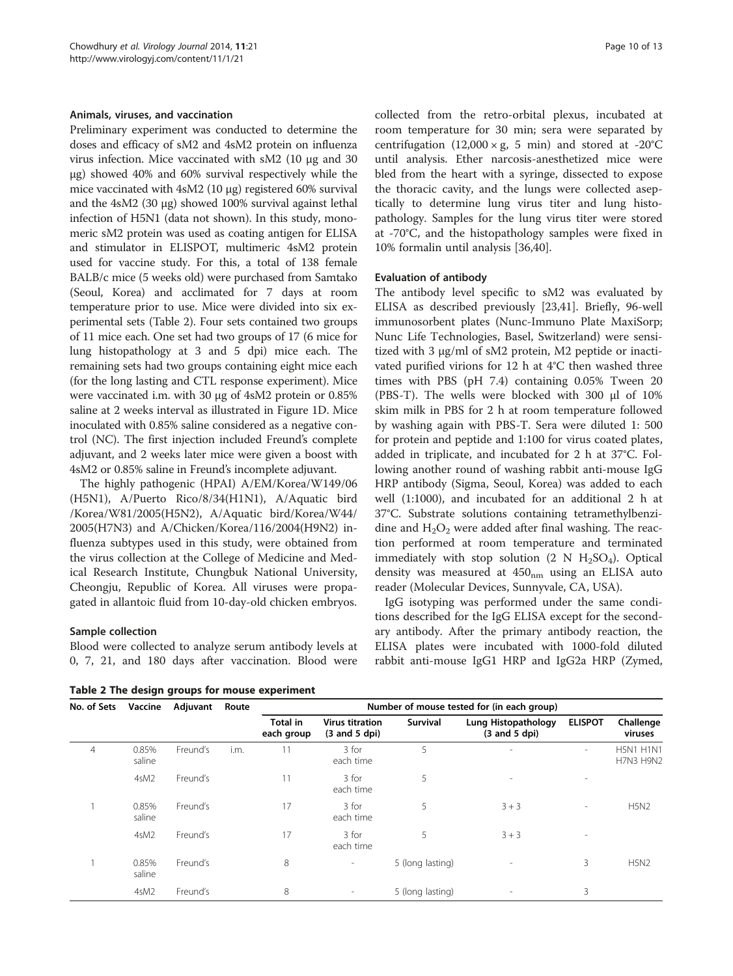#### <span id="page-9-0"></span>Animals, viruses, and vaccination

Preliminary experiment was conducted to determine the doses and efficacy of sM2 and 4sM2 protein on influenza virus infection. Mice vaccinated with sM2 (10 μg and 30 μg) showed 40% and 60% survival respectively while the mice vaccinated with 4sM2 (10 μg) registered 60% survival and the 4sM2 (30 μg) showed 100% survival against lethal infection of H5N1 (data not shown). In this study, monomeric sM2 protein was used as coating antigen for ELISA and stimulator in ELISPOT, multimeric 4sM2 protein used for vaccine study. For this, a total of 138 female BALB/c mice (5 weeks old) were purchased from Samtako (Seoul, Korea) and acclimated for 7 days at room temperature prior to use. Mice were divided into six experimental sets (Table 2). Four sets contained two groups of 11 mice each. One set had two groups of 17 (6 mice for lung histopathology at 3 and 5 dpi) mice each. The remaining sets had two groups containing eight mice each (for the long lasting and CTL response experiment). Mice were vaccinated i.m. with 30 μg of 4sM2 protein or 0.85% saline at 2 weeks interval as illustrated in Figure [1](#page-2-0)D. Mice inoculated with 0.85% saline considered as a negative control (NC). The first injection included Freund's complete adjuvant, and 2 weeks later mice were given a boost with 4sM2 or 0.85% saline in Freund's incomplete adjuvant.

The highly pathogenic (HPAI) A/EM/Korea/W149/06 (H5N1), A/Puerto Rico/8/34(H1N1), A/Aquatic bird /Korea/W81/2005(H5N2), A/Aquatic bird/Korea/W44/ 2005(H7N3) and A/Chicken/Korea/116/2004(H9N2) influenza subtypes used in this study, were obtained from the virus collection at the College of Medicine and Medical Research Institute, Chungbuk National University, Cheongju, Republic of Korea. All viruses were propagated in allantoic fluid from 10-day-old chicken embryos.

#### Sample collection

Blood were collected to analyze serum antibody levels at 0, 7, 21, and 180 days after vaccination. Blood were

Table 2 The design groups for mouse experiment

collected from the retro-orbital plexus, incubated at room temperature for 30 min; sera were separated by centrifugation (12,000 × g, 5 min) and stored at -20°C until analysis. Ether narcosis-anesthetized mice were bled from the heart with a syringe, dissected to expose the thoracic cavity, and the lungs were collected aseptically to determine lung virus titer and lung histopathology. Samples for the lung virus titer were stored at -70°C, and the histopathology samples were fixed in 10% formalin until analysis [\[36,40](#page-11-0)].

#### Evaluation of antibody

The antibody level specific to sM2 was evaluated by ELISA as described previously [\[23,41\]](#page-11-0). Briefly, 96-well immunosorbent plates (Nunc-Immuno Plate MaxiSorp; Nunc Life Technologies, Basel, Switzerland) were sensitized with 3 μg/ml of sM2 protein, M2 peptide or inactivated purified virions for 12 h at 4°C then washed three times with PBS (pH 7.4) containing 0.05% Tween 20 (PBS-T). The wells were blocked with 300 μl of 10% skim milk in PBS for 2 h at room temperature followed by washing again with PBS-T. Sera were diluted 1: 500 for protein and peptide and 1:100 for virus coated plates, added in triplicate, and incubated for 2 h at 37°C. Following another round of washing rabbit anti-mouse IgG HRP antibody (Sigma, Seoul, Korea) was added to each well (1:1000), and incubated for an additional 2 h at 37°C. Substrate solutions containing tetramethylbenzidine and  $H_2O_2$  were added after final washing. The reaction performed at room temperature and terminated immediately with stop solution  $(2 \text{ N H}_2\text{SO}_4)$ . Optical density was measured at  $450<sub>nm</sub>$  using an ELISA auto reader (Molecular Devices, Sunnyvale, CA, USA).

IgG isotyping was performed under the same conditions described for the IgG ELISA except for the secondary antibody. After the primary antibody reaction, the ELISA plates were incubated with 1000-fold diluted rabbit anti-mouse IgG1 HRP and IgG2a HRP (Zymed,

| No. of Sets | Vaccine         | Adjuvant | Route | Number of mouse tested for (in each group) |                                                            |                  |                                           |                |                                      |
|-------------|-----------------|----------|-------|--------------------------------------------|------------------------------------------------------------|------------------|-------------------------------------------|----------------|--------------------------------------|
|             |                 |          |       | <b>Total in</b><br>each group              | <b>Virus titration</b><br>$(3 \text{ and } 5 \text{ dpi})$ | Survival         | Lung Histopathology<br>$(3 and 5$ dpi $)$ | <b>ELISPOT</b> | Challenge<br>viruses                 |
| 4           | 0.85%<br>saline | Freund's | i.m.  | 11                                         | 3 for<br>each time                                         | 5                | $\overline{a}$                            | ۰.             | <b>H5N1 H1N1</b><br><b>H7N3 H9N2</b> |
|             | 4sM2            | Freund's |       | 11                                         | 3 for<br>each time                                         | 5                | $\overline{\phantom{a}}$                  | $\sim$         |                                      |
|             | 0.85%<br>saline | Freund's |       | 17                                         | 3 for<br>each time                                         | 5                | $3 + 3$                                   |                | <b>H5N2</b>                          |
|             | 4sM2            | Freund's |       | 17                                         | 3 for<br>each time                                         | 5                | $3 + 3$                                   | ٠              |                                      |
|             | 0.85%<br>saline | Freund's |       | 8                                          |                                                            | 5 (long lasting) | $\overline{\phantom{a}}$                  | 3              | <b>H5N2</b>                          |
|             | 4sM2            | Freund's |       | 8                                          |                                                            | 5 (long lasting) | $\overline{\phantom{a}}$                  | 3              |                                      |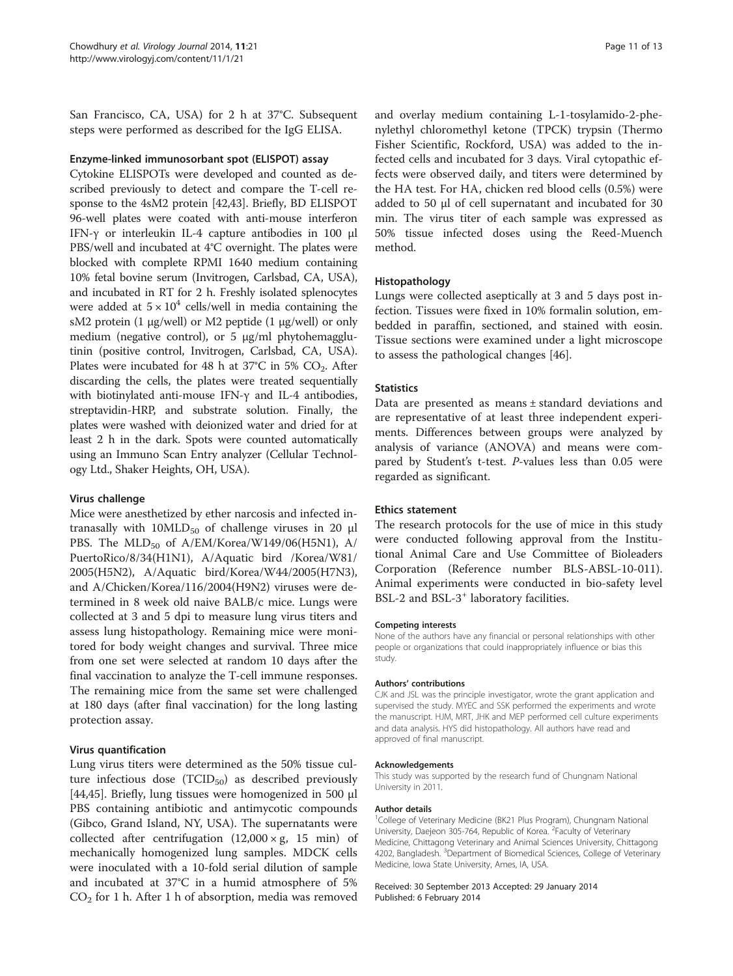San Francisco, CA, USA) for 2 h at 37°C. Subsequent steps were performed as described for the IgG ELISA.

### Enzyme-linked immunosorbant spot (ELISPOT) assay

Cytokine ELISPOTs were developed and counted as described previously to detect and compare the T-cell response to the 4sM2 protein [\[42,43\]](#page-11-0). Briefly, BD ELISPOT 96-well plates were coated with anti-mouse interferon IFN-γ or interleukin IL-4 capture antibodies in 100 μl PBS/well and incubated at 4°C overnight. The plates were blocked with complete RPMI 1640 medium containing 10% fetal bovine serum (Invitrogen, Carlsbad, CA, USA), and incubated in RT for 2 h. Freshly isolated splenocytes were added at  $5 \times 10^4$  cells/well in media containing the sM2 protein (1 μg/well) or M2 peptide (1 μg/well) or only medium (negative control), or 5 μg/ml phytohemagglutinin (positive control, Invitrogen, Carlsbad, CA, USA). Plates were incubated for 48 h at  $37^{\circ}$ C in 5% CO<sub>2</sub>. After discarding the cells, the plates were treated sequentially with biotinylated anti-mouse IFN-γ and IL-4 antibodies, streptavidin-HRP, and substrate solution. Finally, the plates were washed with deionized water and dried for at least 2 h in the dark. Spots were counted automatically using an Immuno Scan Entry analyzer (Cellular Technology Ltd., Shaker Heights, OH, USA).

#### Virus challenge

Mice were anesthetized by ether narcosis and infected intranasally with  $10MLD_{50}$  of challenge viruses in 20  $\mu$ l PBS. The  $MLD_{50}$  of A/EM/Korea/W149/06(H5N1), A/ PuertoRico/8/34(H1N1), A/Aquatic bird /Korea/W81/ 2005(H5N2), A/Aquatic bird/Korea/W44/2005(H7N3), and A/Chicken/Korea/116/2004(H9N2) viruses were determined in 8 week old naive BALB/c mice. Lungs were collected at 3 and 5 dpi to measure lung virus titers and assess lung histopathology. Remaining mice were monitored for body weight changes and survival. Three mice from one set were selected at random 10 days after the final vaccination to analyze the T-cell immune responses. The remaining mice from the same set were challenged at 180 days (after final vaccination) for the long lasting protection assay.

#### Virus quantification

Lung virus titers were determined as the 50% tissue culture infectious dose  $(TCID_{50})$  as described previously [[44,45\]](#page-12-0). Briefly, lung tissues were homogenized in 500 μl PBS containing antibiotic and antimycotic compounds (Gibco, Grand Island, NY, USA). The supernatants were collected after centrifugation  $(12,000 \times g, 15 \text{ min})$  of mechanically homogenized lung samples. MDCK cells were inoculated with a 10-fold serial dilution of sample and incubated at 37°C in a humid atmosphere of 5%  $CO<sub>2</sub>$  for 1 h. After 1 h of absorption, media was removed

and overlay medium containing L-1-tosylamido-2-phenylethyl chloromethyl ketone (TPCK) trypsin (Thermo Fisher Scientific, Rockford, USA) was added to the infected cells and incubated for 3 days. Viral cytopathic effects were observed daily, and titers were determined by the HA test. For HA, chicken red blood cells (0.5%) were added to 50 μl of cell supernatant and incubated for 30 min. The virus titer of each sample was expressed as 50% tissue infected doses using the Reed-Muench method.

# Histopathology

Lungs were collected aseptically at 3 and 5 days post infection. Tissues were fixed in 10% formalin solution, embedded in paraffin, sectioned, and stained with eosin. Tissue sections were examined under a light microscope to assess the pathological changes [[46](#page-12-0)].

#### **Statistics**

Data are presented as means ± standard deviations and are representative of at least three independent experiments. Differences between groups were analyzed by analysis of variance (ANOVA) and means were compared by Student's t-test. P-values less than 0.05 were regarded as significant.

#### Ethics statement

The research protocols for the use of mice in this study were conducted following approval from the Institutional Animal Care and Use Committee of Bioleaders Corporation (Reference number BLS-ABSL-10-011). Animal experiments were conducted in bio-safety level BSL-2 and BSL-3<sup>+</sup> laboratory facilities.

#### Competing interests

None of the authors have any financial or personal relationships with other people or organizations that could inappropriately influence or bias this study.

#### Authors' contributions

CJK and JSL was the principle investigator, wrote the grant application and supervised the study. MYEC and SSK performed the experiments and wrote the manuscript. HJM, MRT, JHK and MEP performed cell culture experiments and data analysis. HYS did histopathology. All authors have read and approved of final manuscript.

#### Acknowledgements

This study was supported by the research fund of Chungnam National University in 2011.

#### Author details

<sup>1</sup>College of Veterinary Medicine (BK21 Plus Program), Chungnam National University, Daejeon 305-764, Republic of Korea. <sup>2</sup> Faculty of Veterinary Medicine, Chittagong Veterinary and Animal Sciences University, Chittagong 4202, Bangladesh. <sup>3</sup>Department of Biomedical Sciences, College of Veterinary Medicine, Iowa State University, Ames, IA, USA.

Received: 30 September 2013 Accepted: 29 January 2014 Published: 6 February 2014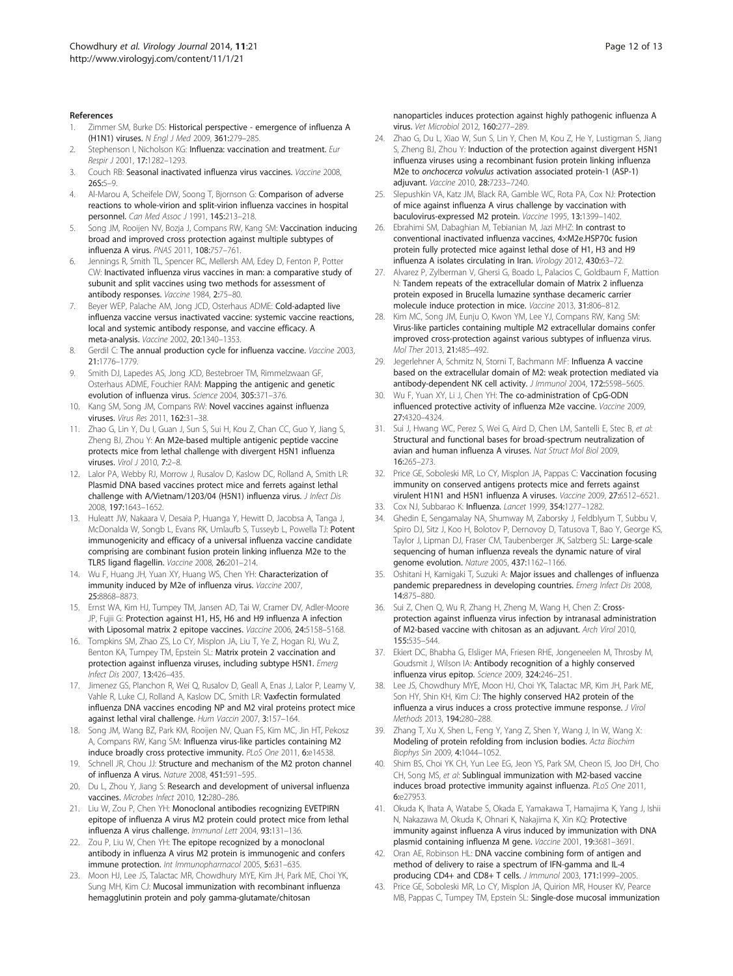#### <span id="page-11-0"></span>References

- 1. Zimmer SM, Burke DS: Historical perspective emergence of influenza A (H1N1) viruses. N Engl J Med 2009, 361:279–285.
- Stephenson I, Nicholson KG: Influenza: vaccination and treatment. Eur Respir J 2001, 17:1282–1293.
- 3. Couch RB: Seasonal inactivated influenza virus vaccines. Vaccine 2008, 26S:5–9.
- 4. Al-Marou A, Scheifele DW, Soong T, Bjornson G: Comparison of adverse reactions to whole-virion and split-virion influenza vaccines in hospital personnel. Can Med Assoc J 1991, 145:213–218.
- Song JM, Rooijen NV, Bozja J, Compans RW, Kang SM: Vaccination inducing broad and improved cross protection against multiple subtypes of influenza A virus. PNAS 2011, 108:757–761.
- 6. Jennings R, Smith TL, Spencer RC, Mellersh AM, Edey D, Fenton P, Potter CW: Inactivated influenza virus vaccines in man: a comparative study of subunit and split vaccines using two methods for assessment of antibody responses. Vaccine 1984, 2:75–80.
- 7. Beyer WEP, Palache AM, Jong JCD, Osterhaus ADME: Cold-adapted live influenza vaccine versus inactivated vaccine: systemic vaccine reactions, local and systemic antibody response, and vaccine efficacy. A meta-analysis. Vaccine 2002, 20:1340–1353.
- 8. Gerdil C: The annual production cycle for influenza vaccine. Vaccine 2003, 21:1776–1779.
- 9. Smith DJ, Lapedes AS, Jong JCD, Bestebroer TM, Rimmelzwaan GF, Osterhaus ADME, Fouchier RAM: Mapping the antigenic and genetic evolution of influenza virus. Science 2004, 305:371–376.
- 10. Kang SM, Song JM, Compans RW: Novel vaccines against influenza viruses. Virus Res 2011, 162:31–38.
- 11. Zhao G, Lin Y, Du I, Guan J, Sun S, Sui H, Kou Z, Chan CC, Guo Y, Jiang S, Zheng BJ, Zhou Y: An M2e-based multiple antigenic peptide vaccine protects mice from lethal challenge with divergent H5N1 influenza viruses. Virol J 2010, 7:2–8.
- 12. Lalor PA, Webby RJ, Morrow J, Rusalov D, Kaslow DC, Rolland A, Smith LR: Plasmid DNA based vaccines protect mice and ferrets against lethal challenge with A/Vietnam/1203/04 (H5N1) influenza virus. J Infect Dis 2008, 197:1643–1652.
- 13. Huleatt JW, Nakaara V, Desaia P, Huanga Y, Hewitt D, Jacobsa A, Tanga J, McDonalda W, Songb L, Evans RK, Umlaufb S, Tusseyb L, Powella TJ: Potent immunogenicity and efficacy of a universal influenza vaccine candidate comprising are combinant fusion protein linking influenza M2e to the TLR5 ligand flagellin. Vaccine 2008, 26:201–214.
- 14. Wu F, Huang JH, Yuan XY, Huang WS, Chen YH: Characterization of immunity induced by M2e of influenza virus. Vaccine 2007, 25:8868–8873.
- 15. Ernst WA, Kim HJ, Tumpey TM, Jansen AD, Tai W, Cramer DV, Adler-Moore JP, Fujii G: Protection against H1, H5, H6 and H9 influenza A infection with Liposomal matrix 2 epitope vaccines. Vaccine 2006, 24:5158–5168.
- 16. Tompkins SM, Zhao ZS, Lo CY, Misplon JA, Liu T, Ye Z, Hogan RJ, Wu Z, Benton KA, Tumpey TM, Epstein SL: Matrix protein 2 vaccination and protection against influenza viruses, including subtype H5N1. Emerg Infect Dis 2007, 13:426–435.
- 17. Jimenez GS, Planchon R, Wei Q, Rusalov D, Geall A, Enas J, Lalor P, Leamy V, Vahle R, Luke CJ, Rolland A, Kaslow DC, Smith LR: Vaxfectin formulated influenza DNA vaccines encoding NP and M2 viral proteins protect mice against lethal viral challenge. Hum Vaccin 2007, 3:157–164.
- 18. Song JM, Wang BZ, Park KM, Rooijen NV, Quan FS, Kim MC, Jin HT, Pekosz A, Compans RW, Kang SM: Influenza virus-like particles containing M2 induce broadly cross protective immunity. PLoS One 2011, 6:e14538.
- 19. Schnell JR, Chou JJ: Structure and mechanism of the M2 proton channel of influenza A virus. Nature 2008, 451:591–595.
- 20. Du L, Zhou Y, Jiang S: Research and development of universal influenza vaccines. Microbes Infect 2010, 12:280-286.
- 21. Liu W, Zou P, Chen YH: Monoclonal antibodies recognizing EVETPIRN epitope of influenza A virus M2 protein could protect mice from lethal influenza A virus challenge. Immunol Lett 2004, 93:131–136.
- 22. Zou P, Liu W, Chen YH: The epitope recognized by a monoclonal antibody in influenza A virus M2 protein is immunogenic and confers immune protection. Int Immunopharmacol 2005, 5:631–635.
- 23. Moon HJ, Lee JS, Talactac MR, Chowdhury MYE, Kim JH, Park ME, Choi YK, Sung MH, Kim CJ: Mucosal immunization with recombinant influenza hemagglutinin protein and poly gamma-glutamate/chitosan

nanoparticles induces protection against highly pathogenic influenza A virus. Vet Microbiol 2012, 160:277–289.

- 24. Zhao G, Du L, Xiao W, Sun S, Lin Y, Chen M, Kou Z, He Y, Lustigman S, Jiang S, Zheng BJ, Zhou Y: Induction of the protection against divergent H5N1 influenza viruses using a recombinant fusion protein linking influenza M2e to onchocerca volvulus activation associated protein-1 (ASP-1) adjuvant. Vaccine 2010, 28:7233–7240.
- 25. Slepushkin VA, Katz JM, Black RA, Gamble WC, Rota PA, Cox NJ: Protection of mice against influenza A virus challenge by vaccination with baculovirus-expressed M2 protein. Vaccine 1995, 13:1399–1402.
- 26. Ebrahimi SM, Dabaghian M, Tebianian M, Jazi MHZ: In contrast to conventional inactivated influenza vaccines, 4×M2e.HSP70c fusion protein fully protected mice against lethal dose of H1, H3 and H9 influenza A isolates circulating in Iran. Virology 2012, 430:63–72.
- 27. Alvarez P, Zylberman V, Ghersi G, Boado L, Palacios C, Goldbaum F, Mattion N: Tandem repeats of the extracellular domain of Matrix 2 influenza protein exposed in Brucella lumazine synthase decameric carrier molecule induce protection in mice. Vaccine 2013, 31:806–812.
- 28. Kim MC, Song JM, Eunju O, Kwon YM, Lee YJ, Compans RW, Kang SM: Virus-like particles containing multiple M2 extracellular domains confer improved cross-protection against various subtypes of influenza virus. Mol Ther 2013, 21:485–492.
- 29. Jegerlehner A, Schmitz N, Storni T, Bachmann MF: Influenza A vaccine based on the extracellular domain of M2: weak protection mediated via antibody-dependent NK cell activity. J Immunol 2004, 172:5598–5605.
- 30. Wu F, Yuan XY, Li J, Chen YH: The co-administration of CpG-ODN influenced protective activity of influenza M2e vaccine. Vaccine 2009, 27:4320–4324.
- 31. Sui J, Hwang WC, Perez S, Wei G, Aird D, Chen LM, Santelli E, Stec B, et al: Structural and functional bases for broad-spectrum neutralization of avian and human influenza A viruses. Nat Struct Mol Biol 2009, 16:265–273.
- 32. Price GE, Soboleski MR, Lo CY, Misplon JA, Pappas C: Vaccination focusing immunity on conserved antigens protects mice and ferrets against virulent H1N1 and H5N1 influenza A viruses. Vaccine 2009, 27:6512–6521.
- 33. Cox NJ, Subbarao K: Influenza. Lancet 1999, 354:1277-1282.
- 34. Ghedin E, Sengamalay NA, Shumway M, Zaborsky J, Feldblyum T, Subbu V, Spiro DJ, Sitz J, Koo H, Bolotov P, Dernovoy D, Tatusova T, Bao Y, George KS, Taylor J, Lipman DJ, Fraser CM, Taubenberger JK, Salzberg SL: Large-scale sequencing of human influenza reveals the dynamic nature of viral genome evolution. Nature 2005, 437:1162–1166.
- 35. Oshitani H, Kamigaki T, Suzuki A: Major issues and challenges of influenza pandemic preparedness in developing countries. Emerg Infect Dis 2008, 14:875–880.
- 36. Sui Z, Chen Q, Wu R, Zhang H, Zheng M, Wang H, Chen Z: Crossprotection against influenza virus infection by intranasal administration of M2-based vaccine with chitosan as an adjuvant. Arch Virol 2010, 155:535–544.
- 37. Ekiert DC, Bhabha G, Elsliger MA, Friesen RHE, Jongeneelen M, Throsby M, Goudsmit J, Wilson IA: Antibody recognition of a highly conserved influenza virus epitop. Science 2009, 324:246–251.
- 38. Lee JS, Chowdhury MYE, Moon HJ, Choi YK, Talactac MR, Kim JH, Park ME, Son HY, Shin KH, Kim CJ: The highly conserved HA2 protein of the influenza a virus induces a cross protective immune response. J Virol Methods 2013, 194:280–288.
- 39. Zhang T, Xu X, Shen L, Feng Y, Yang Z, Shen Y, Wang J, In W, Wang X: Modeling of protein refolding from inclusion bodies. Acta Biochim Biophys Sin 2009, 4:1044–1052.
- 40. Shim BS, Choi YK CH, Yun Lee EG, Jeon YS, Park SM, Cheon IS, Joo DH, Cho CH, Song MS, et al: Sublingual immunization with M2-based vaccine induces broad protective immunity against influenza. PLoS One 2011, 6:e27953.
- 41. Okuda K, Ihata A, Watabe S, Okada E, Yamakawa T, Hamajima K, Yang J, Ishii N, Nakazawa M, Okuda K, Ohnari K, Nakajima K, Xin KQ: Protective immunity against influenza A virus induced by immunization with DNA plasmid containing influenza M gene. Vaccine 2001, 19:3681–3691.
- 42. Oran AE, Robinson HL: DNA vaccine combining form of antigen and method of delivery to raise a spectrum of IFN-gamma and IL-4 producing CD4+ and CD8+ T cells. J Immunol 2003, 171:1999–2005.
- 43. Price GE, Soboleski MR, Lo CY, Misplon JA, Quirion MR, Houser KV, Pearce MB, Pappas C, Tumpey TM, Epstein SL: Single-dose mucosal immunization